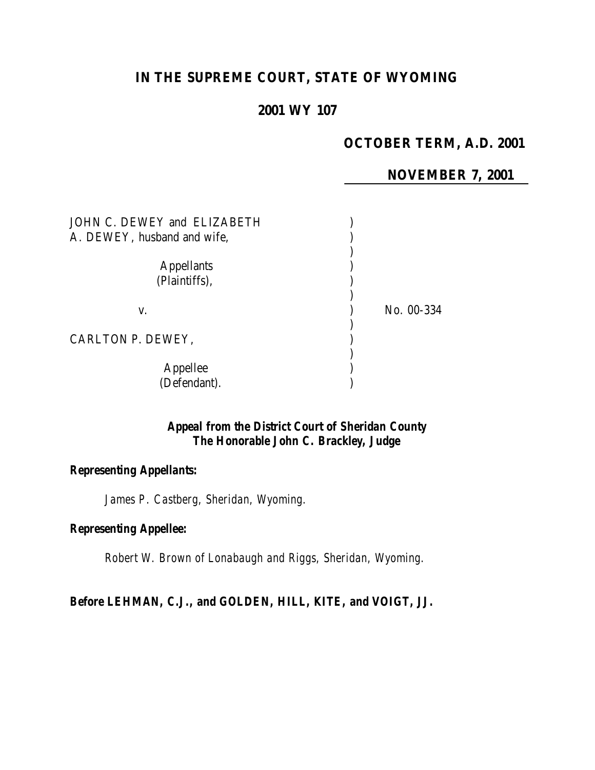# **IN THE SUPREME COURT, STATE OF WYOMING**

# **2001 WY 107**

# **OCTOBER TERM, A.D. 2001**

**NOVEMBER 7, 2001**

| JOHN C. DEWEY and ELIZABETH<br>A. DEWEY, husband and wife, |            |
|------------------------------------------------------------|------------|
| <b>Appellants</b><br>(Plaintiffs),                         |            |
| V.                                                         | No. 00-334 |
| CARLTON P. DEWEY,                                          |            |
| Appellee<br>(Defendant).                                   |            |

## *Appeal from the District Court of Sheridan County The Honorable John C. Brackley, Judge*

#### *Representing Appellants:*

*James P. Castberg, Sheridan, Wyoming.*

#### *Representing Appellee:*

*Robert W. Brown of Lonabaugh and Riggs, Sheridan, Wyoming.*

*Before LEHMAN, C.J., and GOLDEN, HILL, KITE, and VOIGT, JJ.*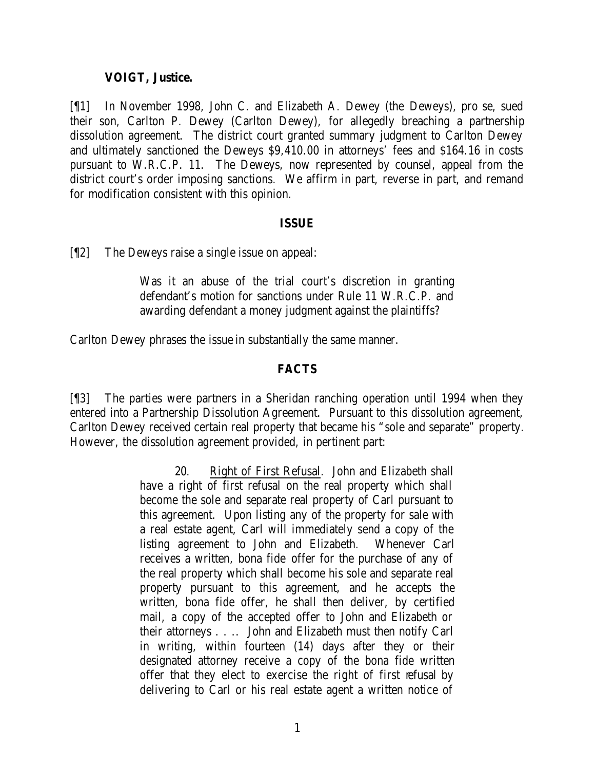#### **VOIGT, Justice.**

[¶1] In November 1998, John C. and Elizabeth A. Dewey (the Deweys), pro se, sued their son, Carlton P. Dewey (Carlton Dewey), for allegedly breaching a partnership dissolution agreement. The district court granted summary judgment to Carlton Dewey and ultimately sanctioned the Deweys \$9,410.00 in attorneys' fees and \$164.16 in costs pursuant to W.R.C.P. 11. The Deweys, now represented by counsel, appeal from the district court's order imposing sanctions. We affirm in part, reverse in part, and remand for modification consistent with this opinion.

#### **ISSUE**

[¶2] The Deweys raise a single issue on appeal:

Was it an abuse of the trial court's discretion in granting defendant's motion for sanctions under Rule 11 W.R.C.P. and awarding defendant a money judgment against the plaintiffs?

Carlton Dewey phrases the issue in substantially the same manner.

#### **FACTS**

[¶3] The parties were partners in a Sheridan ranching operation until 1994 when they entered into a Partnership Dissolution Agreement. Pursuant to this dissolution agreement, Carlton Dewey received certain real property that became his "sole and separate" property. However, the dissolution agreement provided, in pertinent part:

> 20. Right of First Refusal. John and Elizabeth shall have a right of first refusal on the real property which shall become the sole and separate real property of Carl pursuant to this agreement. Upon listing any of the property for sale with a real estate agent, Carl will immediately send a copy of the listing agreement to John and Elizabeth. Whenever Carl receives a written, bona fide offer for the purchase of any of the real property which shall become his sole and separate real property pursuant to this agreement, and he accepts the written, bona fide offer, he shall then deliver, by certified mail, a copy of the accepted offer to John and Elizabeth or their attorneys . . .. John and Elizabeth must then notify Carl in writing, within fourteen (14) days after they or their designated attorney receive a copy of the bona fide written offer that they elect to exercise the right of first refusal by delivering to Carl or his real estate agent a written notice of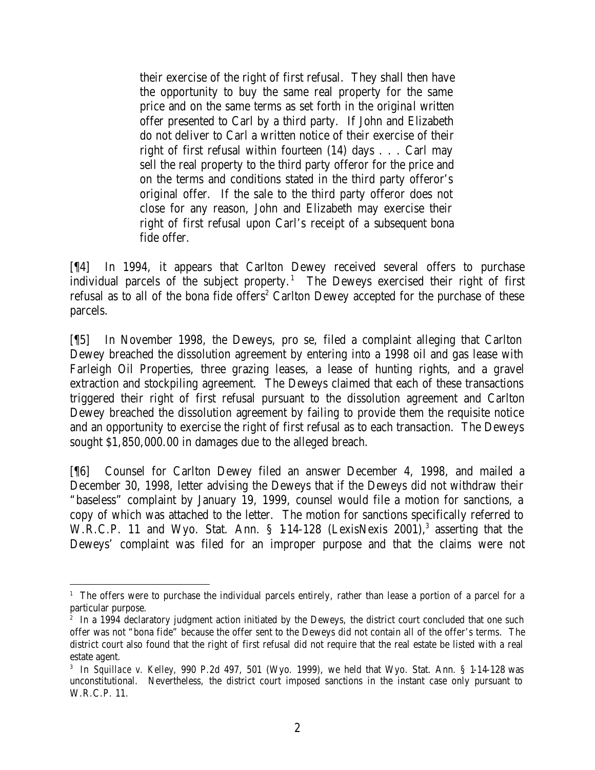their exercise of the right of first refusal. They shall then have the opportunity to buy the same real property for the same price and on the same terms as set forth in the original written offer presented to Carl by a third party. If John and Elizabeth do not deliver to Carl a written notice of their exercise of their right of first refusal within fourteen (14) days . . . Carl may sell the real property to the third party offeror for the price and on the terms and conditions stated in the third party offeror's original offer. If the sale to the third party offeror does not close for any reason, John and Elizabeth may exercise their right of first refusal upon Carl's receipt of a subsequent bona fide offer.

[¶4] In 1994, it appears that Carlton Dewey received several offers to purchase individual parcels of the subject property.<sup>1</sup> The Deweys exercised their right of first refusal as to all of the bona fide offers<sup>2</sup> Carlton Dewey accepted for the purchase of these parcels.

[¶5] In November 1998, the Deweys, pro se, filed a complaint alleging that Carlton Dewey breached the dissolution agreement by entering into a 1998 oil and gas lease with Farleigh Oil Properties, three grazing leases, a lease of hunting rights, and a gravel extraction and stockpiling agreement. The Deweys claimed that each of these transactions triggered their right of first refusal pursuant to the dissolution agreement and Carlton Dewey breached the dissolution agreement by failing to provide them the requisite notice and an opportunity to exercise the right of first refusal as to each transaction. The Deweys sought \$1,850,000.00 in damages due to the alleged breach.

[¶6] Counsel for Carlton Dewey filed an answer December 4, 1998, and mailed a December 30, 1998, letter advising the Deweys that if the Deweys did not withdraw their "baseless" complaint by January 19, 1999, counsel would file a motion for sanctions, a copy of which was attached to the letter. The motion for sanctions specifically referred to W.R.C.P. 11 and Wyo. Stat. Ann.  $\S$  14-128 (LexisNexis 2001),<sup>3</sup> asserting that the Deweys' complaint was filed for an improper purpose and that the claims were not

<sup>&</sup>lt;sup>1</sup> The offers were to purchase the individual parcels entirely, rather than lease a portion of a parcel for a particular purpose.

<sup>&</sup>lt;sup>2</sup> In a 1994 declaratory judgment action initiated by the Deweys, the district court concluded that one such offer was not "bona fide" because the offer sent to the Deweys did not contain all of the offer's terms. The district court also found that the right of first refusal did not require that the real estate be listed with a real estate agent.

<sup>3</sup> In *Squillace v. Kelley*, 990 P.2d 497, 501 (Wyo. 1999), we held that Wyo. Stat. Ann. § 1-14-128 was unconstitutional. Nevertheless, the district court imposed sanctions in the instant case only pursuant to W.R.C.P. 11.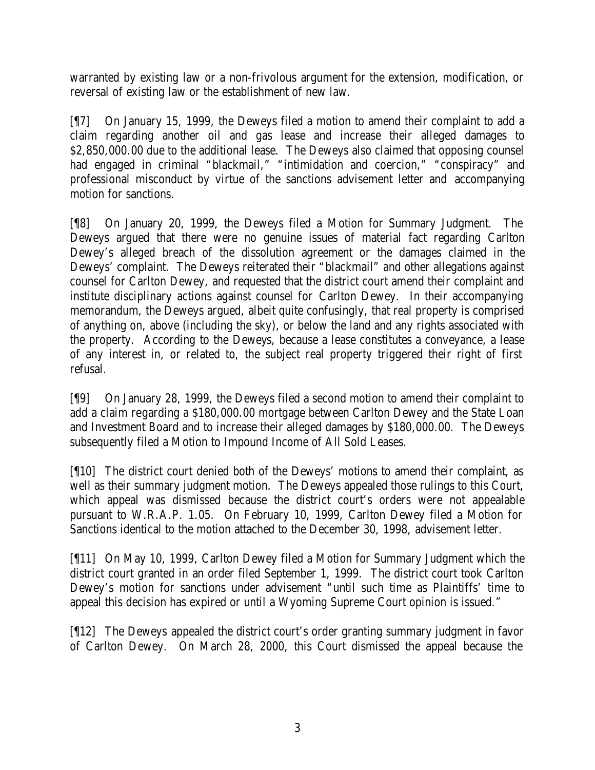warranted by existing law or a non-frivolous argument for the extension, modification, or reversal of existing law or the establishment of new law.

[¶7] On January 15, 1999, the Deweys filed a motion to amend their complaint to add a claim regarding another oil and gas lease and increase their alleged damages to \$2,850,000.00 due to the additional lease. The Deweys also claimed that opposing counsel had engaged in criminal "blackmail," "intimidation and coercion," "conspiracy" and professional misconduct by virtue of the sanctions advisement letter and accompanying motion for sanctions.

[¶8] On January 20, 1999, the Deweys filed a Motion for Summary Judgment. The Deweys argued that there were no genuine issues of material fact regarding Carlton Dewey's alleged breach of the dissolution agreement or the damages claimed in the Deweys' complaint. The Deweys reiterated their "blackmail" and other allegations against counsel for Carlton Dewey, and requested that the district court amend their complaint and institute disciplinary actions against counsel for Carlton Dewey. In their accompanying memorandum, the Deweys argued, albeit quite confusingly, that real property is comprised of anything on, above (including the sky), or below the land and any rights associated with the property. According to the Deweys, because a lease constitutes a conveyance, a lease of any interest in, or related to, the subject real property triggered their right of first refusal.

[¶9] On January 28, 1999, the Deweys filed a second motion to amend their complaint to add a claim regarding a \$180,000.00 mortgage between Carlton Dewey and the State Loan and Investment Board and to increase their alleged damages by \$180,000.00. The Deweys subsequently filed a Motion to Impound Income of All Sold Leases.

[¶10] The district court denied both of the Deweys' motions to amend their complaint, as well as their summary judgment motion. The Deweys appealed those rulings to this Court, which appeal was dismissed because the district court's orders were not appealable pursuant to W.R.A.P. 1.05. On February 10, 1999, Carlton Dewey filed a Motion for Sanctions identical to the motion attached to the December 30, 1998, advisement letter.

[¶11] On May 10, 1999, Carlton Dewey filed a Motion for Summary Judgment which the district court granted in an order filed September 1, 1999. The district court took Carlton Dewey's motion for sanctions under advisement "until such time as Plaintiffs' time to appeal this decision has expired or until a Wyoming Supreme Court opinion is issued."

[¶12] The Deweys appealed the district court's order granting summary judgment in favor of Carlton Dewey. On March 28, 2000, this Court dismissed the appeal because the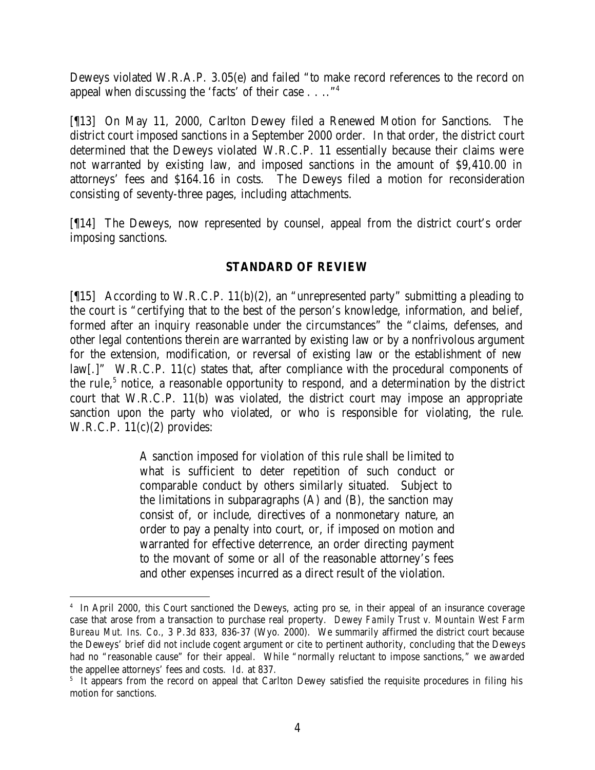Deweys violated W.R.A.P. 3.05(e) and failed "to make record references to the record on appeal when discussing the 'facts' of their case . . .."<sup>4</sup>

[¶13] On May 11, 2000, Carlton Dewey filed a Renewed Motion for Sanctions. The district court imposed sanctions in a September 2000 order. In that order, the district court determined that the Deweys violated W.R.C.P. 11 essentially because their claims were not warranted by existing law, and imposed sanctions in the amount of \$9,410.00 in attorneys' fees and \$164.16 in costs. The Deweys filed a motion for reconsideration consisting of seventy-three pages, including attachments.

[¶14] The Deweys, now represented by counsel, appeal from the district court's order imposing sanctions.

### **STANDARD OF REVIEW**

[¶15] According to W.R.C.P. 11(b)(2), an "unrepresented party" submitting a pleading to the court is "certifying that to the best of the person's knowledge, information, and belief, formed after an inquiry reasonable under the circumstances" the "claims, defenses, and other legal contentions therein are warranted by existing law or by a nonfrivolous argument for the extension, modification, or reversal of existing law or the establishment of new law[.]" W.R.C.P. 11(c) states that, after compliance with the procedural components of the rule,<sup>5</sup> notice, a reasonable opportunity to respond, and a determination by the district court that W.R.C.P. 11(b) was violated, the district court may impose an appropriate sanction upon the party who violated, or who is responsible for violating, the rule. W.R.C.P.  $11(c)(2)$  provides:

> A sanction imposed for violation of this rule shall be limited to what is sufficient to deter repetition of such conduct or comparable conduct by others similarly situated. Subject to the limitations in subparagraphs (A) and (B), the sanction may consist of, or include, directives of a nonmonetary nature, an order to pay a penalty into court, or, if imposed on motion and warranted for effective deterrence, an order directing payment to the movant of some or all of the reasonable attorney's fees and other expenses incurred as a direct result of the violation.

<sup>4</sup> In April 2000, this Court sanctioned the Deweys, acting pro se, in their appeal of an insurance coverage case that arose from a transaction to purchase real property. *Dewey Family Trust v. Mountain West Farm Bureau Mut. Ins. Co.*, 3 P.3d 833, 836-37 (Wyo. 2000). We summarily affirmed the district court because the Deweys' brief did not include cogent argument or cite to pertinent authority, concluding that the Deweys had no "reasonable cause" for their appeal. While "normally reluctant to impose sanctions," we awarded the appellee attorneys' fees and costs. *Id.* at 837.

<sup>&</sup>lt;sup>5</sup> It appears from the record on appeal that Carlton Dewey satisfied the requisite procedures in filing his motion for sanctions.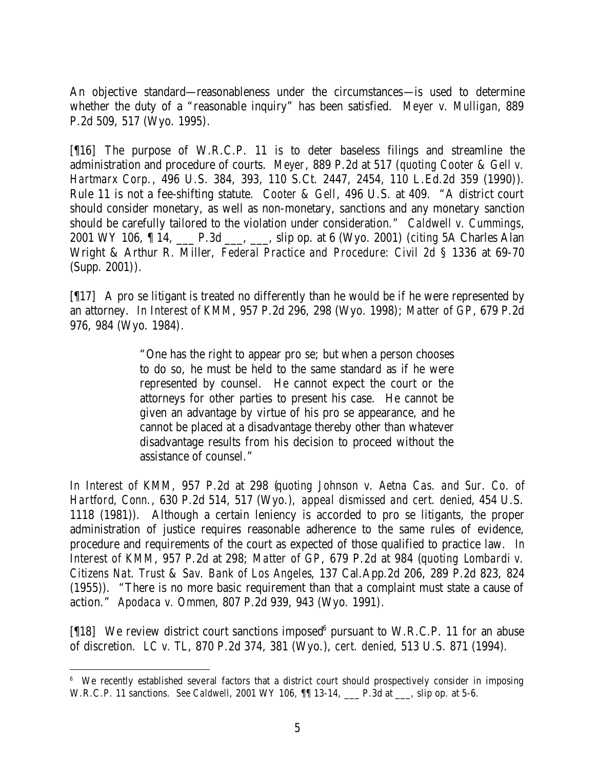An objective standard—reasonableness under the circumstances—is used to determine whether the duty of a "reasonable inquiry" has been satisfied. *Meyer v. Mulligan*, 889 P.2d 509, 517 (Wyo. 1995).

[¶16] The purpose of W.R.C.P. 11 is to deter baseless filings and streamline the administration and procedure of courts. *Meyer*, 889 P.2d at 517 (*quoting Cooter & Gell v. Hartmarx Corp.*, 496 U.S. 384, 393, 110 S.Ct. 2447, 2454, 110 L.Ed.2d 359 (1990)). Rule 11 is not a fee-shifting statute. *Cooter & Gell*, 496 U.S. at 409. "A district court should consider monetary, as well as non-monetary, sanctions and any monetary sanction should be carefully tailored to the violation under consideration." *Caldwell v. Cummings*, 2001 WY 106, ¶ 14, \_\_\_ P.3d \_\_\_, \_\_\_, slip op. at 6 (Wyo. 2001) (*citing* 5A Charles Alan Wright & Arthur R. Miller, *Federal Practice and Procedure: Civil 2d* § 1336 at 69-70 (Supp. 2001)).

[¶17] A pro se litigant is treated no differently than he would be if he were represented by an attorney. *In Interest of KMM*, 957 P.2d 296, 298 (Wyo. 1998); *Matter of GP*, 679 P.2d 976, 984 (Wyo. 1984).

> "One has the right to appear pro se; but when a person chooses to do so, he must be held to the same standard as if he were represented by counsel. He cannot expect the court or the attorneys for other parties to present his case. He cannot be given an advantage by virtue of his pro se appearance, and he cannot be placed at a disadvantage thereby other than whatever disadvantage results from his decision to proceed without the assistance of counsel."

*In Interest of KMM*, 957 P.2d at 298 (*quoting Johnson v. Aetna Cas. and Sur. Co. of Hartford, Conn.*, 630 P.2d 514, 517 (Wyo.), *appeal dismissed and cert. denied*, 454 U.S. 1118 (1981)). Although a certain leniency is accorded to pro se litigants, the proper administration of justice requires reasonable adherence to the same rules of evidence, procedure and requirements of the court as expected of those qualified to practice law. *In Interest of KMM*, 957 P.2d at 298; *Matter of GP*, 679 P.2d at 984 (*quoting Lombardi v. Citizens Nat. Trust & Sav. Bank of Los Angeles*, 137 Cal.App.2d 206, 289 P.2d 823, 824 (1955)). "There is no more basic requirement than that a complaint must state a cause of action." *Apodaca v. Ommen*, 807 P.2d 939, 943 (Wyo. 1991).

[ $[18]$  We review district court sanctions imposed<sup>6</sup> pursuant to W.R.C.P. 11 for an abuse of discretion. *LC v. TL*, 870 P.2d 374, 381 (Wyo.), *cert. denied*, 513 U.S. 871 (1994).

<sup>&</sup>lt;sup>6</sup> We recently established several factors that a district court should prospectively consider in imposing W.R.C.P. 11 sanctions. *See Caldwell*, 2001 WY 106, ¶¶ 13-14, \_\_\_ P.3d at \_\_\_, slip op. at 5-6.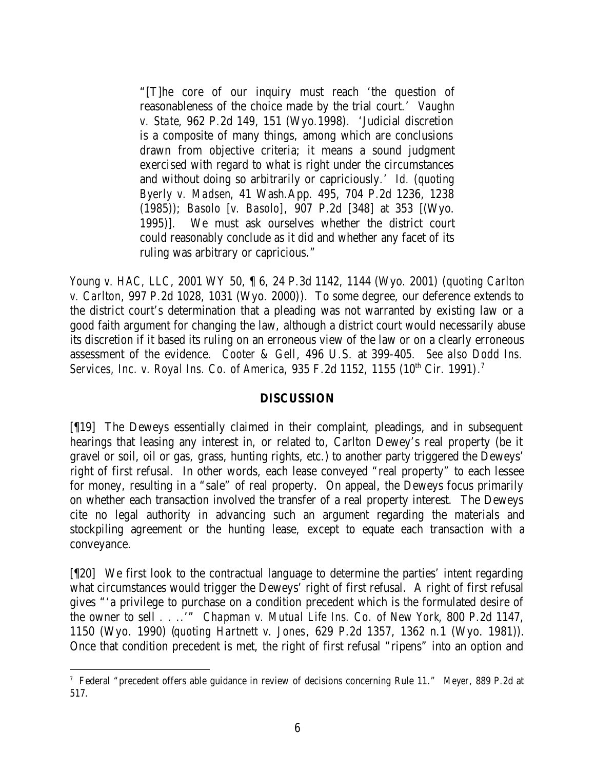"[T]he core of our inquiry must reach 'the question of reasonableness of the choice made by the trial court.' *Vaughn v. State*, 962 P.2d 149, 151 (Wyo.1998). 'Judicial discretion is a composite of many things, among which are conclusions drawn from objective criteria; it means a sound judgment exercised with regard to what is right under the circumstances and without doing so arbitrarily or capriciously.' *Id.* (*quoting Byerly v. Madsen*, 41 Wash.App. 495, 704 P.2d 1236, 1238 (1985)); *Basolo [v. Basolo]*, 907 P.2d [348] at 353 [(Wyo. 1995)]. We must ask ourselves whether the district court could reasonably conclude as it did and whether any facet of its ruling was arbitrary or capricious."

*Young v. HAC, LLC*, 2001 WY 50, ¶ 6, 24 P.3d 1142, 1144 (Wyo. 2001) (*quoting Carlton v. Carlton*, 997 P.2d 1028, 1031 (Wyo. 2000)). To some degree, our deference extends to the district court's determination that a pleading was not warranted by existing law or a good faith argument for changing the law, although a district court would necessarily abuse its discretion if it based its ruling on an erroneous view of the law or on a clearly erroneous assessment of the evidence. *Cooter & Gell*, 496 U.S. at 399-405. *See also Dodd Ins. Services, Inc. v. Royal Ins. Co. of America,* 935 F.2d 1152, 1155 (10<sup>th</sup> Cir. 1991).<sup>7</sup>

### **DISCUSSION**

[¶19] The Deweys essentially claimed in their complaint, pleadings, and in subsequent hearings that leasing any interest in, or related to, Carlton Dewey's real property (be it gravel or soil, oil or gas, grass, hunting rights, etc.) to another party triggered the Deweys' right of first refusal. In other words, each lease conveyed "real property" to each lessee for money, resulting in a "sale" of real property. On appeal, the Deweys focus primarily on whether each transaction involved the transfer of a real property interest. The Deweys cite no legal authority in advancing such an argument regarding the materials and stockpiling agreement or the hunting lease, except to equate each transaction with a conveyance.

[¶20] We first look to the contractual language to determine the parties' intent regarding what circumstances would trigger the Deweys' right of first refusal. A right of first refusal gives "'a privilege to purchase on a condition precedent which is the formulated desire of the owner to sell . . ..'" *Chapman v. Mutual Life Ins. Co. of New York*, 800 P.2d 1147, 1150 (Wyo. 1990) (*quoting Hartnett v. Jones*, 629 P.2d 1357, 1362 n.1 (Wyo. 1981)). Once that condition precedent is met, the right of first refusal "ripens" into an option and

 7 Federal "precedent offers able guidance in review of decisions concerning Rule 11." *Meyer*, 889 P.2d at 517.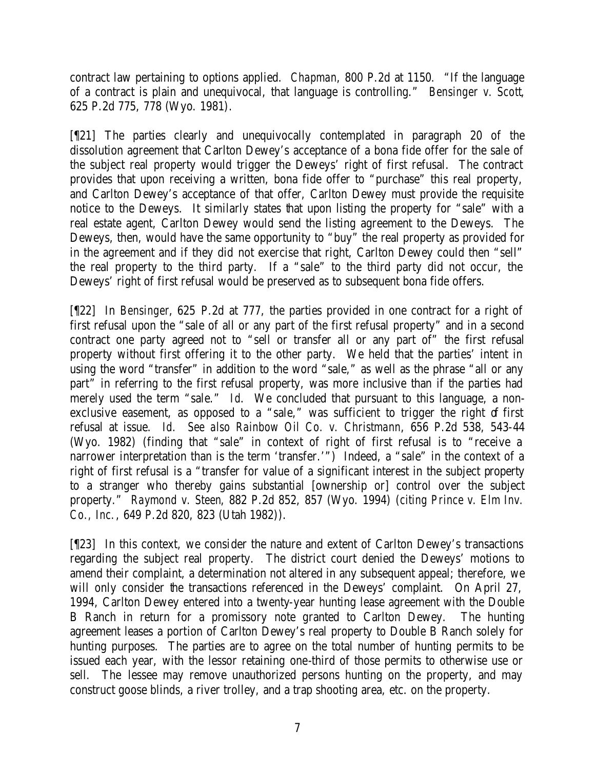contract law pertaining to options applied. *Chapman*, 800 P.2d at 1150*.* "If the language of a contract is plain and unequivocal, that language is controlling." *Bensinger v. Scott*, 625 P.2d 775, 778 (Wyo. 1981).

[¶21] The parties clearly and unequivocally contemplated in paragraph 20 of the dissolution agreement that Carlton Dewey's acceptance of a bona fide offer for the sale of the subject real property would trigger the Deweys' right of first refusal. The contract provides that upon receiving a written, bona fide offer to "purchase" this real property, and Carlton Dewey's acceptance of that offer, Carlton Dewey must provide the requisite notice to the Deweys. It similarly states that upon listing the property for "sale" with a real estate agent, Carlton Dewey would send the listing agreement to the Deweys. The Deweys, then, would have the same opportunity to "buy" the real property as provided for in the agreement and if they did not exercise that right, Carlton Dewey could then "sell" the real property to the third party. If a "sale" to the third party did not occur, the Deweys' right of first refusal would be preserved as to subsequent bona fide offers.

[¶22] In *Bensinger*, 625 P.2d at 777, the parties provided in one contract for a right of first refusal upon the "sale of all or any part of the first refusal property" and in a second contract one party agreed not to "sell or transfer all or any part of" the first refusal property without first offering it to the other party. We held that the parties' intent in using the word "transfer" in addition to the word "sale," as well as the phrase "all or any part" in referring to the first refusal property, was more inclusive than if the parties had merely used the term "sale." *Id*. We concluded that pursuant to this language, a nonexclusive easement, as opposed to a "sale," was sufficient to trigger the right of first refusal at issue. *Id. See also Rainbow Oil Co. v. Christmann*, 656 P.2d 538, 543-44 (Wyo. 1982) (finding that "sale" in context of right of first refusal is to "receive a narrower interpretation than is the term 'transfer.'") Indeed, a "sale" in the context of a right of first refusal is a "transfer for value of a significant interest in the subject property to a stranger who thereby gains substantial [ownership or] control over the subject property." *Raymond v. Steen*, 882 P.2d 852, 857 (Wyo. 1994) (*citing Prince v. Elm Inv. Co., Inc.*, 649 P.2d 820, 823 (Utah 1982)).

[¶23] In this context, we consider the nature and extent of Carlton Dewey's transactions regarding the subject real property. The district court denied the Deweys' motions to amend their complaint, a determination not altered in any subsequent appeal; therefore, we will only consider the transactions referenced in the Deweys' complaint. On April 27, 1994, Carlton Dewey entered into a twenty-year hunting lease agreement with the Double B Ranch in return for a promissory note granted to Carlton Dewey. The hunting agreement leases a portion of Carlton Dewey's real property to Double B Ranch solely for hunting purposes. The parties are to agree on the total number of hunting permits to be issued each year, with the lessor retaining one-third of those permits to otherwise use or sell. The lessee may remove unauthorized persons hunting on the property, and may construct goose blinds, a river trolley, and a trap shooting area, etc. on the property.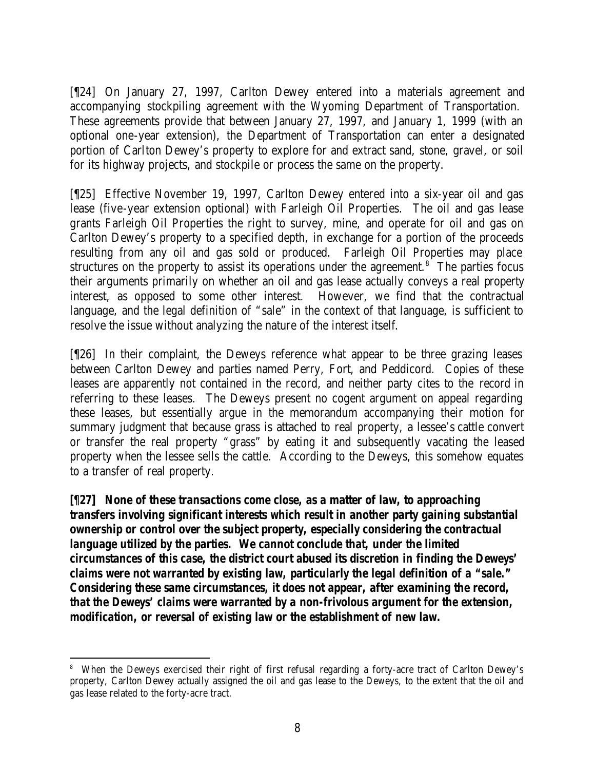[¶24] On January 27, 1997, Carlton Dewey entered into a materials agreement and accompanying stockpiling agreement with the Wyoming Department of Transportation. These agreements provide that between January 27, 1997, and January 1, 1999 (with an optional one-year extension), the Department of Transportation can enter a designated portion of Carlton Dewey's property to explore for and extract sand, stone, gravel, or soil for its highway projects, and stockpile or process the same on the property.

[¶25] Effective November 19, 1997, Carlton Dewey entered into a six-year oil and gas lease (five-year extension optional) with Farleigh Oil Properties. The oil and gas lease grants Farleigh Oil Properties the right to survey, mine, and operate for oil and gas on Carlton Dewey's property to a specified depth, in exchange for a portion of the proceeds resulting from any oil and gas sold or produced. Farleigh Oil Properties may place structures on the property to assist its operations under the agreement.<sup>8</sup> The parties focus their arguments primarily on whether an oil and gas lease actually conveys a real property interest, as opposed to some other interest. However, we find that the contractual language, and the legal definition of "sale" in the context of that language, is sufficient to resolve the issue without analyzing the nature of the interest itself.

[¶26] In their complaint, the Deweys reference what appear to be three grazing leases between Carlton Dewey and parties named Perry, Fort, and Peddicord. Copies of these leases are apparently not contained in the record, and neither party cites to the record in referring to these leases. The Deweys present no cogent argument on appeal regarding these leases, but essentially argue in the memorandum accompanying their motion for summary judgment that because grass is attached to real property, a lessee's cattle convert or transfer the real property "grass" by eating it and subsequently vacating the leased property when the lessee sells the cattle. According to the Deweys, this somehow equates to a transfer of real property.

*[¶27] None of these transactions come close, as a matter of law, to approaching transfers involving significant interests which result in another party gaining substantial ownership or control over the subject property, especially considering the contractual language utilized by the parties. We cannot conclude that, under the limited circumstances of this case, the district court abused its discretion in finding the Deweys' claims were not warranted by existing law, particularly the legal definition of a "sale." Considering these same circumstances, it does not appear, after examining the record, that the Deweys' claims were warranted by a non-frivolous argument for the extension, modification, or reversal of existing law or the establishment of new law.*

<sup>8</sup> When the Deweys exercised their right of first refusal regarding a forty-acre tract of Carlton Dewey's property, Carlton Dewey actually assigned the oil and gas lease to the Deweys, to the extent that the oil and gas lease related to the forty-acre tract.